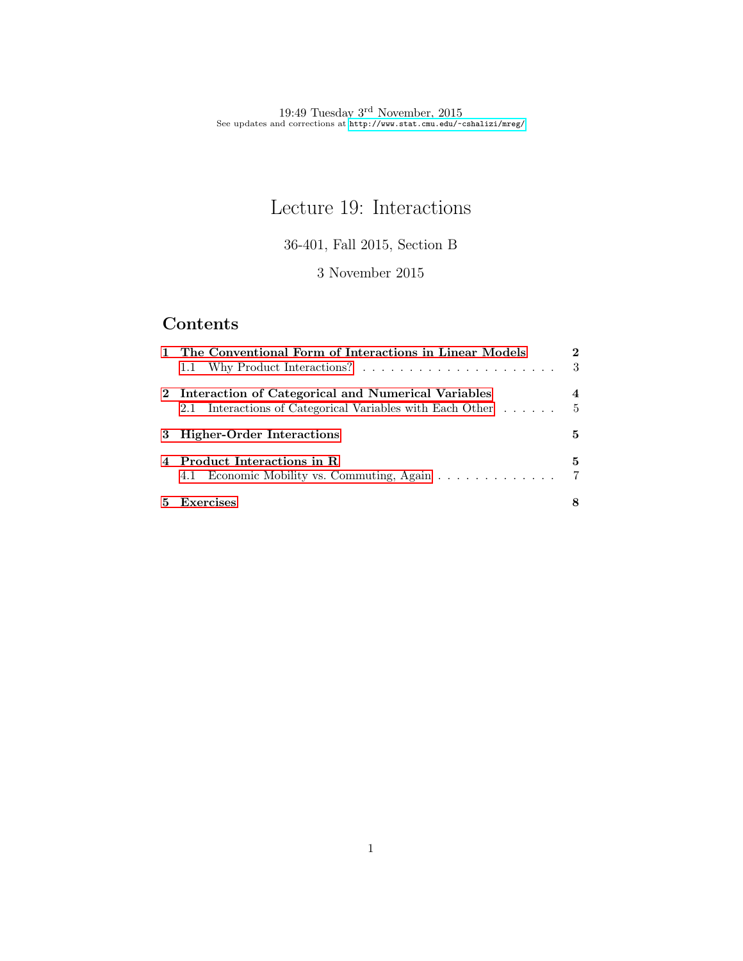# Lecture 19: Interactions

36-401, Fall 2015, Section B

3 November 2015

# Contents

| 1 The Conventional Form of Interactions in Linear Models  |                |  |
|-----------------------------------------------------------|----------------|--|
|                                                           | - 3            |  |
| 2 Interaction of Categorical and Numerical Variables      | 4              |  |
| 2.1 Interactions of Categorical Variables with Each Other | $\frac{5}{2}$  |  |
| 3 Higher-Order Interactions                               | 5              |  |
| 4 Product Interactions in R                               | 5.             |  |
|                                                           | $\overline{7}$ |  |
| 5 Exercises                                               | 8              |  |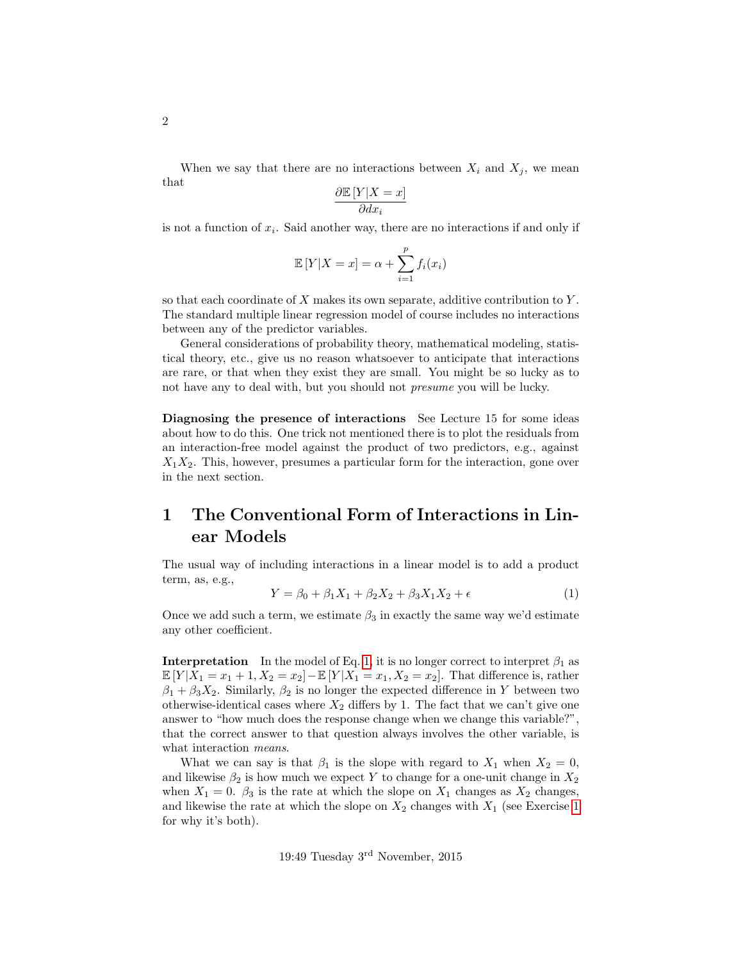When we say that there are no interactions between  $X_i$  and  $X_j$ , we mean that

$$
\frac{\partial \mathbb{E}\left[Y|X=x\right]}{\partial dx_i}
$$

is not a function of  $x_i$ . Said another way, there are no interactions if and only if

$$
\mathbb{E}[Y|X=x] = \alpha + \sum_{i=1}^{p} f_i(x_i)
$$

so that each coordinate of  $X$  makes its own separate, additive contribution to  $Y$ . The standard multiple linear regression model of course includes no interactions between any of the predictor variables.

General considerations of probability theory, mathematical modeling, statistical theory, etc., give us no reason whatsoever to anticipate that interactions are rare, or that when they exist they are small. You might be so lucky as to not have any to deal with, but you should not presume you will be lucky.

Diagnosing the presence of interactions See Lecture 15 for some ideas about how to do this. One trick not mentioned there is to plot the residuals from an interaction-free model against the product of two predictors, e.g., against  $X_1X_2$ . This, however, presumes a particular form for the interaction, gone over in the next section.

## <span id="page-1-0"></span>1 The Conventional Form of Interactions in Linear Models

The usual way of including interactions in a linear model is to add a product term, as, e.g.,

<span id="page-1-1"></span>
$$
Y = \beta_0 + \beta_1 X_1 + \beta_2 X_2 + \beta_3 X_1 X_2 + \epsilon \tag{1}
$$

Once we add such a term, we estimate  $\beta_3$  in exactly the same way we'd estimate any other coefficient.

**Interpretation** In the model of Eq. [1,](#page-1-1) it is no longer correct to interpret  $\beta_1$  as  $\mathbb{E}[Y|X_1 = x_1 + 1, X_2 = x_2] - \mathbb{E}[Y|X_1 = x_1, X_2 = x_2]$ . That difference is, rather  $\beta_1 + \beta_3 X_2$ . Similarly,  $\beta_2$  is no longer the expected difference in Y between two otherwise-identical cases where  $X_2$  differs by 1. The fact that we can't give one answer to "how much does the response change when we change this variable?", that the correct answer to that question always involves the other variable, is what interaction means.

What we can say is that  $\beta_1$  is the slope with regard to  $X_1$  when  $X_2 = 0$ , and likewise  $\beta_2$  is how much we expect Y to change for a one-unit change in  $X_2$ when  $X_1 = 0$ .  $\beta_3$  is the rate at which the slope on  $X_1$  changes as  $X_2$  changes, and likewise the rate at which the slope on  $X_2$  changes with  $X_1$  (see Exercise [1](#page-7-1) for why it's both).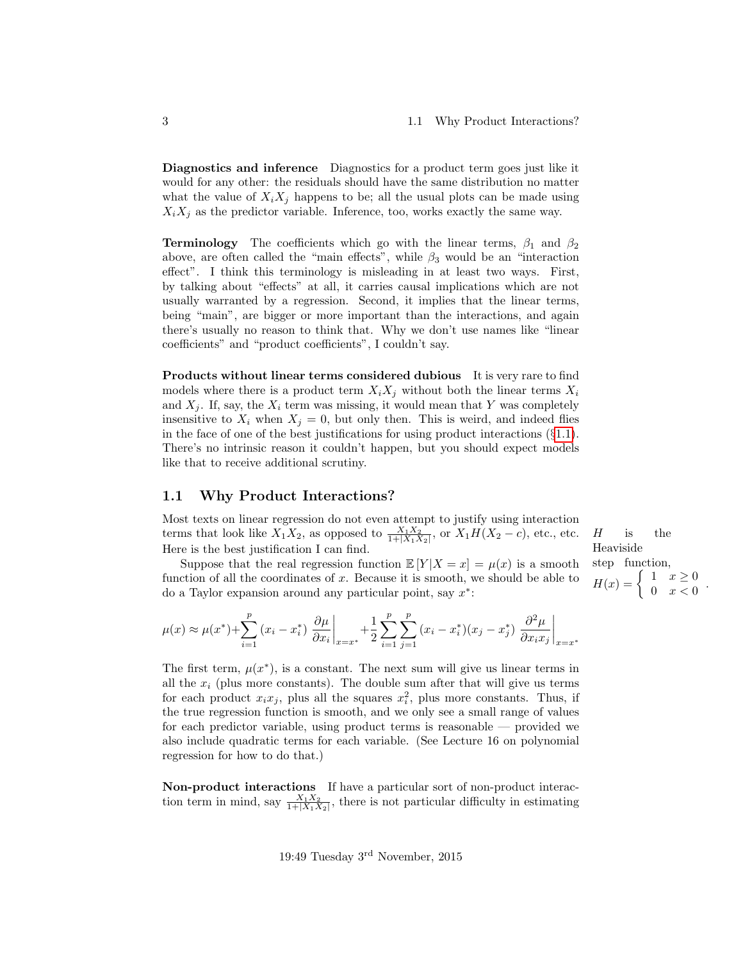Heaviside step function,  $H(x) = \begin{cases} 1 & x \geq 0 \\ 0 & x < 0 \end{cases}$ 

 $\begin{array}{cc} 1 & x \leq 0 \\ 0 & x < 0 \end{array}$ .

Diagnostics and inference Diagnostics for a product term goes just like it would for any other: the residuals should have the same distribution no matter what the value of  $X_i X_j$  happens to be; all the usual plots can be made using  $X_i X_j$  as the predictor variable. Inference, too, works exactly the same way.

**Terminology** The coefficients which go with the linear terms,  $\beta_1$  and  $\beta_2$ above, are often called the "main effects", while  $\beta_3$  would be an "interaction" effect". I think this terminology is misleading in at least two ways. First, by talking about "effects" at all, it carries causal implications which are not usually warranted by a regression. Second, it implies that the linear terms, being "main", are bigger or more important than the interactions, and again there's usually no reason to think that. Why we don't use names like "linear coefficients" and "product coefficients", I couldn't say.

Products without linear terms considered dubious It is very rare to find models where there is a product term  $X_i X_j$  without both the linear terms  $X_i$ and  $X_i$ . If, say, the  $X_i$  term was missing, it would mean that Y was completely insensitive to  $X_i$  when  $X_j = 0$ , but only then. This is weird, and indeed flies in the face of one of the best justifications for using product interactions  $(\S1.1)$  $(\S1.1)$ . There's no intrinsic reason it couldn't happen, but you should expect models like that to receive additional scrutiny.

#### <span id="page-2-0"></span>1.1 Why Product Interactions?

Most texts on linear regression do not even attempt to justify using interaction terms that look like  $X_1X_2$ , as opposed to  $\frac{X_1X_2}{1+|X_1X_2|}$ , or  $X_1H(X_2-c)$ , etc., etc. H is the Here is the best justification I can find.

Suppose that the real regression function  $\mathbb{E}[Y|X=x] = \mu(x)$  is a smooth function of all the coordinates of  $x$ . Because it is smooth, we should be able to do a Taylor expansion around any particular point, say  $x^*$ :

$$
\mu(x) \approx \mu(x^*) + \sum_{i=1}^p (x_i - x_i^*) \left. \frac{\partial \mu}{\partial x_i} \right|_{x = x^*} + \frac{1}{2} \sum_{i=1}^p \sum_{j=1}^p (x_i - x_i^*)(x_j - x_j^*) \left. \frac{\partial^2 \mu}{\partial x_i x_j} \right|_{x = x^*}
$$

The first term,  $\mu(x^*)$ , is a constant. The next sum will give us linear terms in all the  $x_i$  (plus more constants). The double sum after that will give us terms for each product  $x_i x_j$ , plus all the squares  $x_i^2$ , plus more constants. Thus, if the true regression function is smooth, and we only see a small range of values for each predictor variable, using product terms is reasonable — provided we also include quadratic terms for each variable. (See Lecture 16 on polynomial regression for how to do that.)

Non-product interactions If have a particular sort of non-product interaction term in mind, say  $\frac{X_1 X_2}{1+|X_1 X_2|}$ , there is not particular difficulty in estimating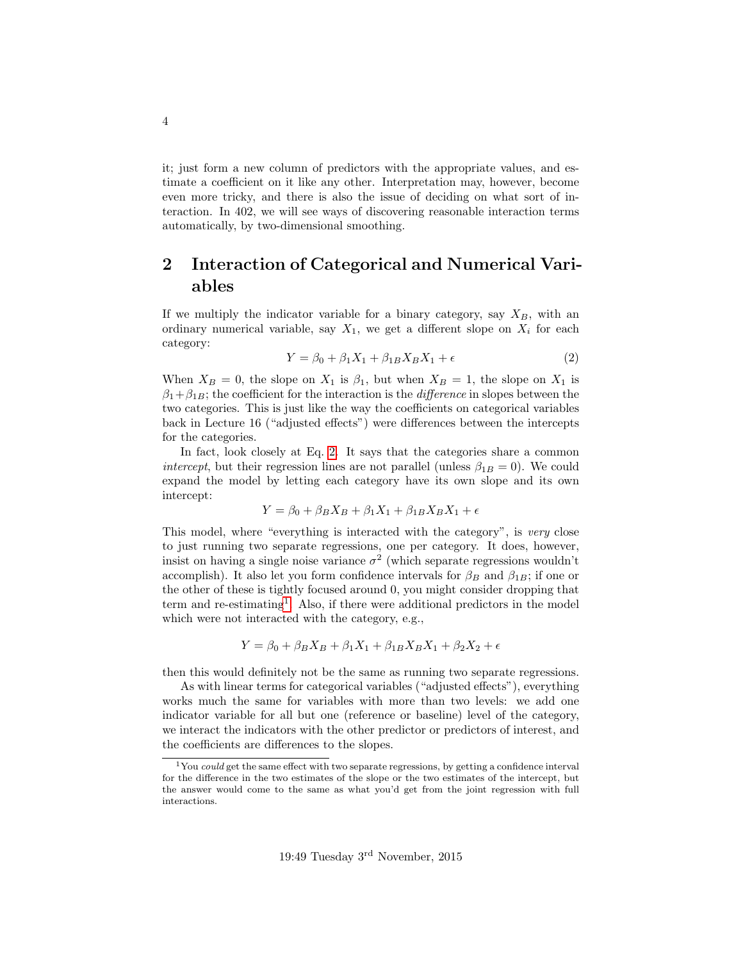it; just form a new column of predictors with the appropriate values, and estimate a coefficient on it like any other. Interpretation may, however, become even more tricky, and there is also the issue of deciding on what sort of interaction. In 402, we will see ways of discovering reasonable interaction terms automatically, by two-dimensional smoothing.

## <span id="page-3-0"></span>2 Interaction of Categorical and Numerical Variables

If we multiply the indicator variable for a binary category, say  $X_B$ , with an ordinary numerical variable, say  $X_1$ , we get a different slope on  $X_i$  for each category:

<span id="page-3-1"></span>
$$
Y = \beta_0 + \beta_1 X_1 + \beta_{1B} X_B X_1 + \epsilon \tag{2}
$$

When  $X_B = 0$ , the slope on  $X_1$  is  $\beta_1$ , but when  $X_B = 1$ , the slope on  $X_1$  is  $\beta_1+\beta_{1B}$ ; the coefficient for the interaction is the *difference* in slopes between the two categories. This is just like the way the coefficients on categorical variables back in Lecture 16 ("adjusted effects") were differences between the intercepts for the categories.

In fact, look closely at Eq. [2.](#page-3-1) It says that the categories share a common *intercept*, but their regression lines are not parallel (unless  $\beta_{1B} = 0$ ). We could expand the model by letting each category have its own slope and its own intercept:

$$
Y = \beta_0 + \beta_B X_B + \beta_1 X_1 + \beta_{1B} X_B X_1 + \epsilon
$$

This model, where "everything is interacted with the category", is very close to just running two separate regressions, one per category. It does, however, insist on having a single noise variance  $\sigma^2$  (which separate regressions wouldn't accomplish). It also let you form confidence intervals for  $\beta_B$  and  $\beta_{1B}$ ; if one or the other of these is tightly focused around 0, you might consider dropping that term and re-estimating<sup>[1](#page-3-2)</sup>. Also, if there were additional predictors in the model which were not interacted with the category, e.g.,

$$
Y = \beta_0 + \beta_B X_B + \beta_1 X_1 + \beta_{1B} X_B X_1 + \beta_2 X_2 + \epsilon
$$

then this would definitely not be the same as running two separate regressions.

As with linear terms for categorical variables ("adjusted effects"), everything works much the same for variables with more than two levels: we add one indicator variable for all but one (reference or baseline) level of the category, we interact the indicators with the other predictor or predictors of interest, and the coefficients are differences to the slopes.

<span id="page-3-2"></span> $1$ You could get the same effect with two separate regressions, by getting a confidence interval for the difference in the two estimates of the slope or the two estimates of the intercept, but the answer would come to the same as what you'd get from the joint regression with full interactions.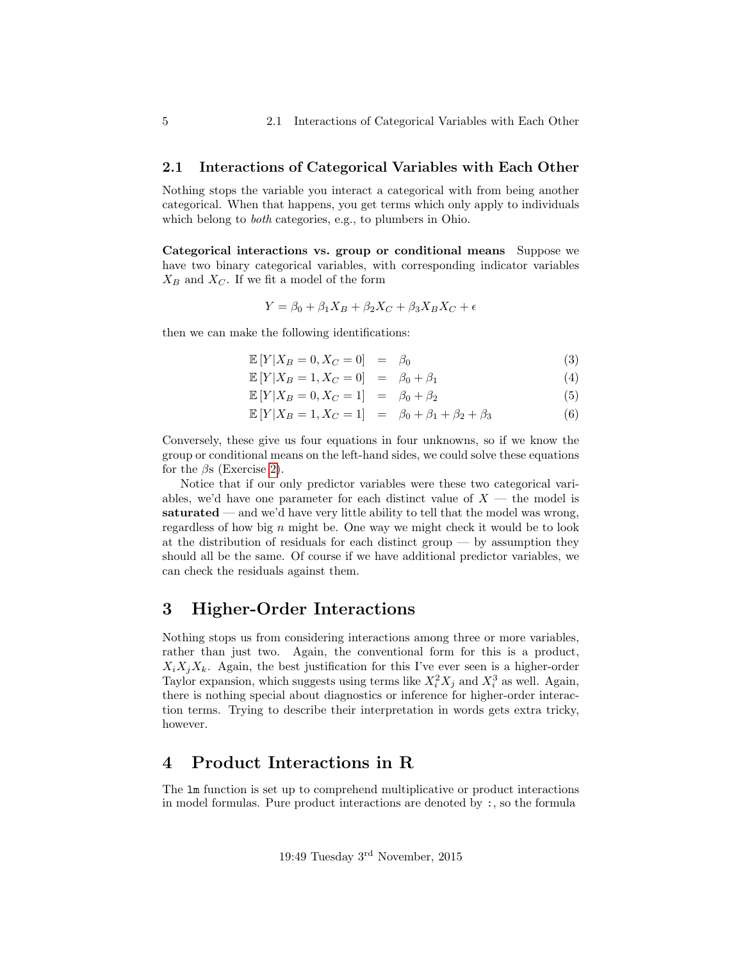#### <span id="page-4-0"></span>2.1 Interactions of Categorical Variables with Each Other

Nothing stops the variable you interact a categorical with from being another categorical. When that happens, you get terms which only apply to individuals which belong to both categories, e.g., to plumbers in Ohio.

Categorical interactions vs. group or conditional means Suppose we have two binary categorical variables, with corresponding indicator variables  $X_B$  and  $X_C$ . If we fit a model of the form

$$
Y = \beta_0 + \beta_1 X_B + \beta_2 X_C + \beta_3 X_B X_C + \epsilon
$$

then we can make the following identifications:

<span id="page-4-3"></span>
$$
\mathbb{E}\left[Y|X_B=0,X_C=0\right] = \beta_0 \tag{3}
$$

$$
\mathbb{E}\left[Y|X_B=1, X_C=0\right] = \beta_0 + \beta_1 \tag{4}
$$

 $\mathbb{E}[Y|X_B = 0, X_C = 1] = \beta_0 + \beta_2$  (5)

$$
\mathbb{E}[Y|X_B = 1, X_C = 1] = \beta_0 + \beta_1 + \beta_2 + \beta_3 \tag{6}
$$

Conversely, these give us four equations in four unknowns, so if we know the group or conditional means on the left-hand sides, we could solve these equations for the  $\beta$ s (Exercise [2\)](#page-8-0).

Notice that if our only predictor variables were these two categorical variables, we'd have one parameter for each distinct value of  $X$  — the model is saturated — and we'd have very little ability to tell that the model was wrong, regardless of how big  $n$  might be. One way we might check it would be to look at the distribution of residuals for each distinct group — by assumption they should all be the same. Of course if we have additional predictor variables, we can check the residuals against them.

### <span id="page-4-1"></span>3 Higher-Order Interactions

Nothing stops us from considering interactions among three or more variables, rather than just two. Again, the conventional form for this is a product,  $X_i X_j X_k$ . Again, the best justification for this I've ever seen is a higher-order Taylor expansion, which suggests using terms like  $X_i^2 X_j$  and  $X_i^3$  as well. Again, there is nothing special about diagnostics or inference for higher-order interaction terms. Trying to describe their interpretation in words gets extra tricky, however.

### <span id="page-4-2"></span>4 Product Interactions in R

The lm function is set up to comprehend multiplicative or product interactions in model formulas. Pure product interactions are denoted by :, so the formula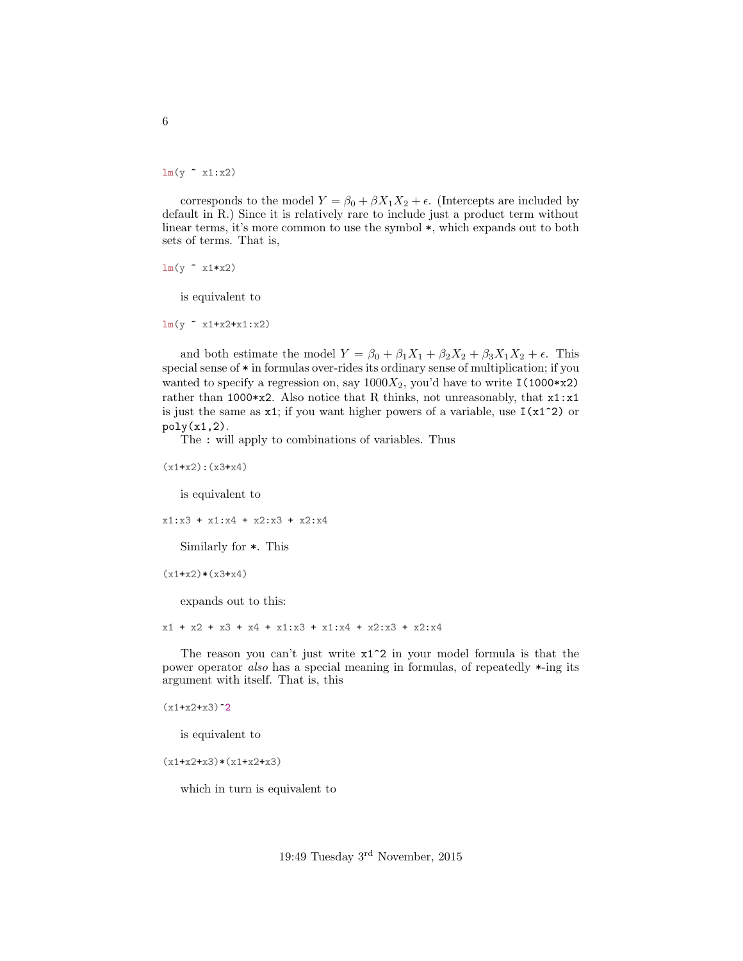$lm(y \sim x1:x2)$ 

corresponds to the model  $Y = \beta_0 + \beta X_1 X_2 + \epsilon$ . (Intercepts are included by default in R.) Since it is relatively rare to include just a product term without linear terms, it's more common to use the symbol  $*$ , which expands out to both sets of terms. That is,

 $lm(y \sim x1*x2)$ 

is equivalent to

lm(y ~ x1+x2+x1:x2)

and both estimate the model  $Y = \beta_0 + \beta_1 X_1 + \beta_2 X_2 + \beta_3 X_1 X_2 + \epsilon$ . This special sense of \* in formulas over-rides its ordinary sense of multiplication; if you wanted to specify a regression on, say  $1000X_2$ , you'd have to write I(1000\*x2) rather than 1000\*x2. Also notice that R thinks, not unreasonably, that  $x1:x1$ is just the same as  $x1$ ; if you want higher powers of a variable, use  $I(x1^2)$  or  $poly(x1,2)$ .

The : will apply to combinations of variables. Thus

(x1+x2):(x3+x4)

is equivalent to

x1:x3 + x1:x4 + x2:x3 + x2:x4

Similarly for \*. This

 $(x1+x2)*(x3+x4)$ 

expands out to this:

x1 + x2 + x3 + x4 + x1:x3 + x1:x4 + x2:x3 + x2:x4

The reason you can't just write x1^2 in your model formula is that the power operator also has a special meaning in formulas, of repeatedly \*-ing its argument with itself. That is, this

 $(x1+x2+x3)^2$ 

is equivalent to

 $(x1+x2+x3)*(x1+x2+x3)$ 

which in turn is equivalent to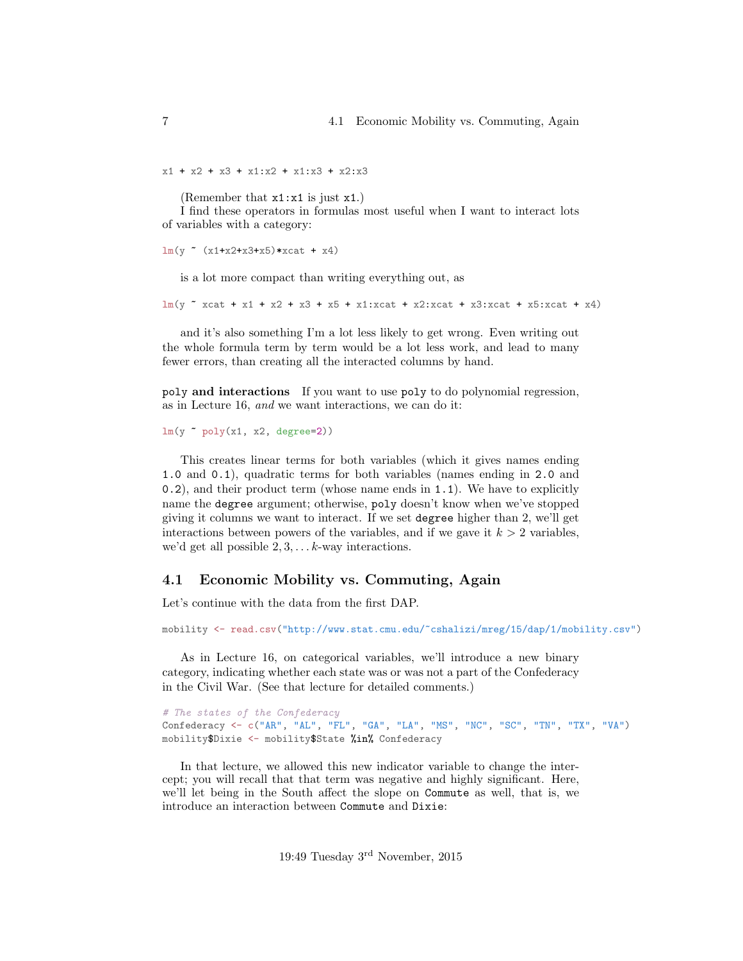$x1 + x2 + x3 + x1: x2 + x1: x3 + x2: x3$ 

(Remember that x1:x1 is just x1.)

I find these operators in formulas most useful when I want to interact lots of variables with a category:

```
lm(y ~ (x1+x2+x3+x5)*xcat + x4)
```
is a lot more compact than writing everything out, as

 $lm(y \texttt{r} xcat + x1 + x2 + x3 + x5 + x1:xcat + x2:xcat + x3:xcat + x5:xcat + x4)$ 

and it's also something I'm a lot less likely to get wrong. Even writing out the whole formula term by term would be a lot less work, and lead to many fewer errors, than creating all the interacted columns by hand.

poly and interactions If you want to use poly to do polynomial regression, as in Lecture 16, and we want interactions, we can do it:

 $lm(y \text{ o}ly(x1, x2, degree=2))$ 

This creates linear terms for both variables (which it gives names ending 1.0 and 0.1), quadratic terms for both variables (names ending in 2.0 and 0.2), and their product term (whose name ends in 1.1). We have to explicitly name the degree argument; otherwise, poly doesn't know when we've stopped giving it columns we want to interact. If we set degree higher than 2, we'll get interactions between powers of the variables, and if we gave it  $k > 2$  variables, we'd get all possible  $2, 3, \ldots k$ -way interactions.

#### <span id="page-6-0"></span>4.1 Economic Mobility vs. Commuting, Again

Let's continue with the data from the first DAP.

mobility <- read.csv("http://www.stat.cmu.edu/~cshalizi/mreg/15/dap/1/mobility.csv")

As in Lecture 16, on categorical variables, we'll introduce a new binary category, indicating whether each state was or was not a part of the Confederacy in the Civil War. (See that lecture for detailed comments.)

```
# The states of the Confederacy
Confederacy <- c("AR", "AL", "FL", "GA", "LA", "MS", "NC", "SC", "TN", "TX", "VA")
mobility$Dixie <- mobility$State %in% Confederacy
```
In that lecture, we allowed this new indicator variable to change the intercept; you will recall that that term was negative and highly significant. Here, we'll let being in the South affect the slope on Commute as well, that is, we introduce an interaction between Commute and Dixie: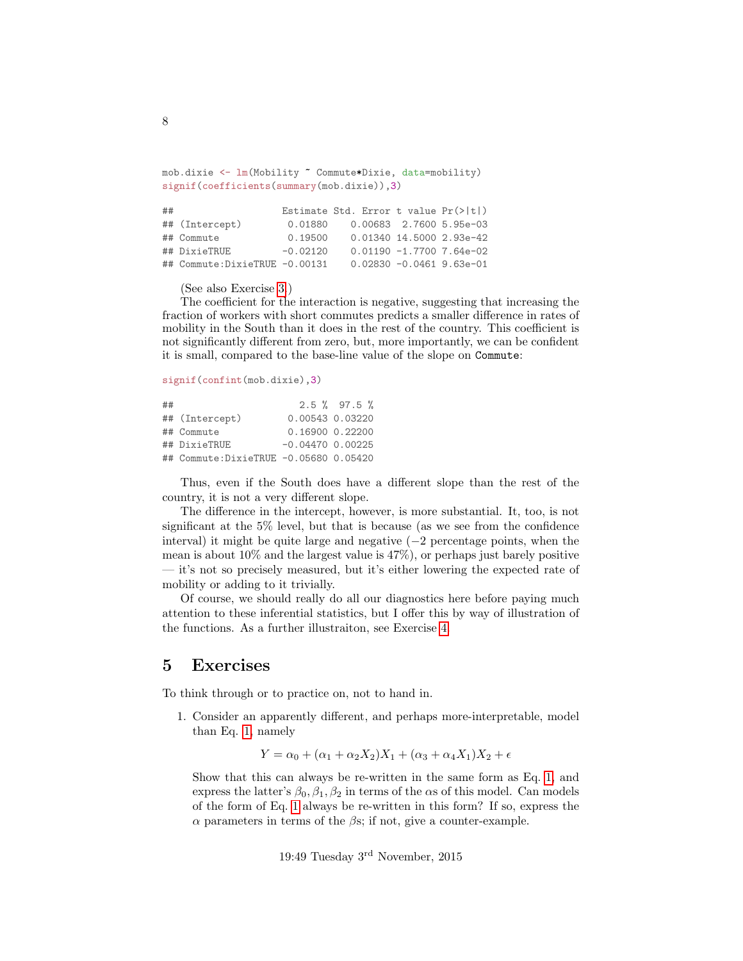```
mob.dixie <- lm(Mobility ~ Commute*Dixie, data=mobility)
signif(coefficients(summary(mob.dixie)),3)
```

| ## |                                |            | Estimate Std. Error t value $Pr(>\vert t \vert)$ |                              |
|----|--------------------------------|------------|--------------------------------------------------|------------------------------|
|    | ## (Intercept)                 | 0.01880    |                                                  | 0.00683 2.7600 5.95e-03      |
|    | ## Commute                     | 0.19500    |                                                  | 0.01340 14.5000 2.93e-42     |
|    | ## DixieTRUE                   | $-0.02120$ |                                                  | $0.01190 - 1.77007.64e - 02$ |
|    | ## Commute: DixieTRUE -0.00131 |            |                                                  | $0.02830 -0.0461$ 9.63e-01   |

(See also Exercise [3.](#page-8-1))

The coefficient for the interaction is negative, suggesting that increasing the fraction of workers with short commutes predicts a smaller difference in rates of mobility in the South than it does in the rest of the country. This coefficient is not significantly different from zero, but, more importantly, we can be confident it is small, compared to the base-line value of the slope on Commute:

signif(confint(mob.dixie),3)

| ## |                                       |                    | $2.5 \%$ 97.5 % |
|----|---------------------------------------|--------------------|-----------------|
|    | ## (Intercept)                        | 0.00543 0.03220    |                 |
|    | ## Commute                            | 0.16900 0.22200    |                 |
|    | ## DixieTRUE                          | $-0.04470$ 0.00225 |                 |
|    | ## Commute:DixieTRUE -0.05680 0.05420 |                    |                 |

Thus, even if the South does have a different slope than the rest of the country, it is not a very different slope.

The difference in the intercept, however, is more substantial. It, too, is not significant at the 5% level, but that is because (as we see from the confidence interval) it might be quite large and negative  $(-2)$  percentage points, when the mean is about 10% and the largest value is 47%), or perhaps just barely positive — it's not so precisely measured, but it's either lowering the expected rate of mobility or adding to it trivially.

Of course, we should really do all our diagnostics here before paying much attention to these inferential statistics, but I offer this by way of illustration of the functions. As a further illustraiton, see Exercise [4.](#page-8-2)

### <span id="page-7-0"></span>5 Exercises

<span id="page-7-1"></span>To think through or to practice on, not to hand in.

1. Consider an apparently different, and perhaps more-interpretable, model than Eq. [1,](#page-1-1) namely

$$
Y = \alpha_0 + (\alpha_1 + \alpha_2 X_2)X_1 + (\alpha_3 + \alpha_4 X_1)X_2 + \epsilon
$$

Show that this can always be re-written in the same form as Eq. [1,](#page-1-1) and express the latter's  $\beta_0$ ,  $\beta_1$ ,  $\beta_2$  in terms of the  $\alpha$ s of this model. Can models of the form of Eq. [1](#page-1-1) always be re-written in this form? If so, express the  $\alpha$  parameters in terms of the  $\beta s$ ; if not, give a counter-example.